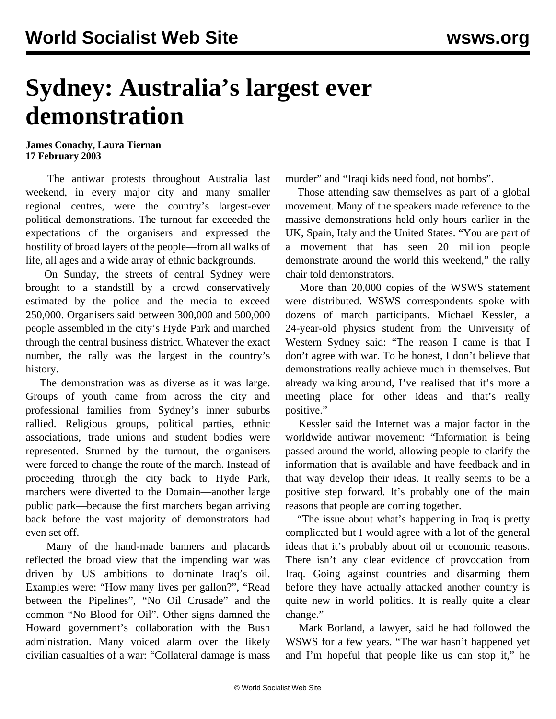## **Sydney: Australia's largest ever demonstration**

**James Conachy, Laura Tiernan 17 February 2003**

 The antiwar protests throughout Australia last weekend, in every major city and many smaller regional centres, were the country's largest-ever political demonstrations. The turnout far exceeded the expectations of the organisers and expressed the hostility of broad layers of the people—from all walks of life, all ages and a wide array of ethnic backgrounds.

 On Sunday, the streets of central Sydney were brought to a standstill by a crowd conservatively estimated by the police and the media to exceed 250,000. Organisers said between 300,000 and 500,000 people assembled in the city's Hyde Park and marched through the central business district. Whatever the exact number, the rally was the largest in the country's history.

 The demonstration was as diverse as it was large. Groups of youth came from across the city and professional families from Sydney's inner suburbs rallied. Religious groups, political parties, ethnic associations, trade unions and student bodies were represented. Stunned by the turnout, the organisers were forced to change the route of the march. Instead of proceeding through the city back to Hyde Park, marchers were diverted to the Domain—another large public park—because the first marchers began arriving back before the vast majority of demonstrators had even set off.

 Many of the hand-made banners and placards reflected the broad view that the impending war was driven by US ambitions to dominate Iraq's oil. Examples were: "How many lives per gallon?", "Read between the Pipelines", "No Oil Crusade" and the common "No Blood for Oil". Other signs damned the Howard government's collaboration with the Bush administration. Many voiced alarm over the likely civilian casualties of a war: "Collateral damage is mass

murder" and "Iraqi kids need food, not bombs".

 Those attending saw themselves as part of a global movement. Many of the speakers made reference to the massive demonstrations held only hours earlier in the UK, Spain, Italy and the United States. "You are part of a movement that has seen 20 million people demonstrate around the world this weekend," the rally chair told demonstrators.

 More than 20,000 copies of the WSWS statement were distributed. WSWS correspondents spoke with dozens of march participants. Michael Kessler, a 24-year-old physics student from the University of Western Sydney said: "The reason I came is that I don't agree with war. To be honest, I don't believe that demonstrations really achieve much in themselves. But already walking around, I've realised that it's more a meeting place for other ideas and that's really positive."

 Kessler said the Internet was a major factor in the worldwide antiwar movement: "Information is being passed around the world, allowing people to clarify the information that is available and have feedback and in that way develop their ideas. It really seems to be a positive step forward. It's probably one of the main reasons that people are coming together.

 "The issue about what's happening in Iraq is pretty complicated but I would agree with a lot of the general ideas that it's probably about oil or economic reasons. There isn't any clear evidence of provocation from Iraq. Going against countries and disarming them before they have actually attacked another country is quite new in world politics. It is really quite a clear change."

 Mark Borland, a lawyer, said he had followed the WSWS for a few years. "The war hasn't happened yet and I'm hopeful that people like us can stop it," he